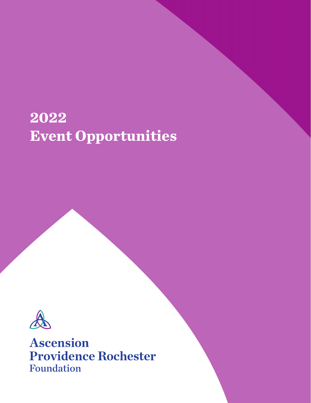# **2022 Event Opportunities**



**Ascension Providence Rochester Foundation**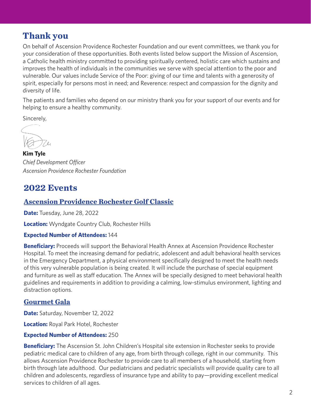# **Thank you**

On behalf of Ascension Providence Rochester Foundation and our event committees, we thank you for your consideration of these opportunities. Both events listed below support the Mission of Ascension, a Catholic health ministry committed to providing spiritually centered, holistic care which sustains and improves the health of individuals in the communities we serve with special attention to the poor and vulnerable. Our values include Service of the Poor: giving of our time and talents with a generosity of spirit, especially for persons most in need; and Reverence: respect and compassion for the dignity and diversity of life.

The patients and families who depend on our ministry thank you for your support of our events and for helping to ensure a healthy community.

Sincerely,

**Kim Tyle** *Chief Development Officer Ascension Providence Rochester Foundation*

# **2022 Events**

## **Ascension Providence Rochester Golf Classic**

**Date:** Tuesday, June 28, 2022

**Location:** Wyndgate Country Club, Rochester Hills

## **Expected Number of Attendees:** 144

**Beneficiary:** Proceeds will support the Behavioral Health Annex at Ascension Providence Rochester Hospital. To meet the increasing demand for pediatric, adolescent and adult behavioral health services in the Emergency Department, a physical environment specifically designed to meet the health needs of this very vulnerable population is being created. It will include the purchase of special equipment and furniture as well as staff education. The Annex will be specially designed to meet behavioral health guidelines and requirements in addition to providing a calming, low-stimulus environment, lighting and distraction options.

## **Gourmet Gala**

**Date:** Saturday, November 12, 2022

**Location:** Royal Park Hotel, Rochester

#### **Expected Number of Attendees:** 250

**Beneficiary:** The Ascension St. John Children's Hospital site extension in Rochester seeks to provide pediatric medical care to children of any age, from birth through college, right in our community. This allows Ascension Providence Rochester to provide care to all members of a household, starting from birth through late adulthood. Our pediatricians and pediatric specialists will provide quality care to all children and adolescents, regardless of insurance type and ability to pay—providing excellent medical services to children of all ages.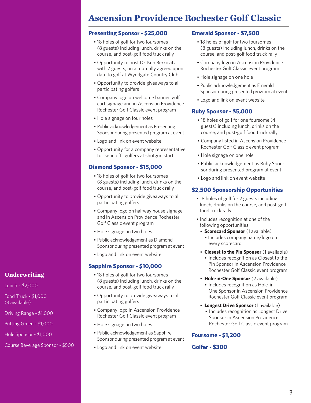# **Ascension Providence Rochester Golf Classic**

#### **Presenting Sponsor - \$25,000**

- 18 holes of golf for two foursomes (8 guests) including lunch, drinks on the course, and post-golf food truck rally
- Opportunity to host Dr. Ken Berkovitz with 7 guests, on a mutually agreed upon date to golf at Wyndgate Country Club
- Opportunity to provide giveaways to all participating golfers
- Company logo on welcome banner, golf cart signage and in Ascension Providence Rochester Golf Classic event program
- Hole signage on four holes
- Public acknowledgement as Presenting Sponsor during presented program at event
- Logo and link on event website
- Opportunity for a company representative to "send off" golfers at shotgun start

## **Diamond Sponsor - \$15,000**

- 18 holes of golf for two foursomes (8 guests) including lunch, drinks on the course, and post-golf food truck rally
- Opportunity to provide giveaways to all participating golfers
- Company logo on halfway house signage and in Ascension Providence Rochester Golf Classic event program
- Hole signage on two holes
- Public acknowledgement as Diamond Sponsor during presented program at event
- Logo and link on event website

## **Sapphire Sponsor - \$10,000**

- 18 holes of golf for two foursomes (8 guests) including lunch, drinks on the course, and post-golf food truck rally
- Opportunity to provide giveaways to all participating golfers
- Company logo in Ascension Providence Rochester Golf Classic event program
- Hole signage on two holes
- Public acknowledgement as Sapphire Sponsor during presented program at event
- Logo and link on event website

## **Emerald Sponsor - \$7,500**

- 18 holes of golf for two foursomes (8 guests) including lunch, drinks on the course, and post-golf food truck rally
- Company logo in Ascension Providence Rochester Golf Classic event program
- Hole signage on one hole
- Public acknowledgement as Emerald Sponsor during presented program at event
- Logo and link on event website

## **Ruby Sponsor - \$5,000**

- 18 holes of golf for one foursome (4 guests) including lunch, drinks on the course, and post-golf food truck rally
- Company listed in Ascension Providence Rochester Golf Classic event program
- Hole signage on one hole
- Public acknowledgement as Ruby Sponsor during presented program at event
- Logo and link on event website

## **\$2,500 Sponsorship Opportunities**

- 18 holes of golf for 2 guests including lunch, drinks on the course, and post-golf food truck rally
- Includes recognition at one of the following opportunities:
	- **Scorecard Sponsor** (1 available)
		- Includes company name/logo on every scorecard
	- **Closest to the Pin Sponsor** (1 available) • Includes recognition as Closest to the Pin Sponsor in Ascension Providence Rochester Golf Classic event program
	- **Hole-in-One Sponsor** (2 available) • Includes recognition as Hole-in-One Sponsor in Ascension Providence Rochester Golf Classic event program
	- **Longest Drive Sponsor** (1 available)
		- Includes recognition as Longest Drive Sponsor in Ascension Providence Rochester Golf Classic event program

## **Foursome - \$1,200**

## **Golfer - \$300**

Lunch – \$2,000

Food Truck - \$1,000 (3 available)

Driving Range - \$1,000

Putting Green - \$1,000

Hole Sponsor - \$1,000

Course Beverage Sponsor - \$500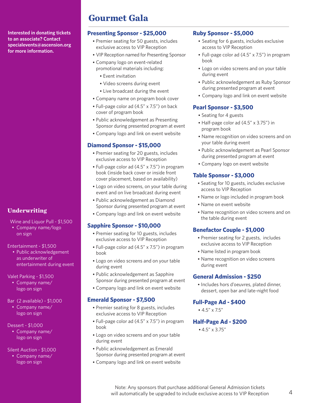**Interested in donating tickets to an associate? Contact specialevents@ascension.org for more information.**

## **Underwriting**

- Wine and Liquor Pull \$1,500
- Company name/logo on sign

Entertainment - \$1,500

• Public acknowledgement as underwriter of entertainment during event

#### Valet Parking - \$1,500

• Company name/ logo on sign

## Bar (2 available) - \$1,000

• Company name/ logo on sign

## Dessert - \$1,000

• Company name/ logo on sign

## Silent Auction - \$1,000

• Company name/ logo on sign

## **Presenting Sponsor - \$25,000**

**Gourmet Gala**

- Premier seating for 50 guests, includes exclusive access to VIP Reception
- VIP Reception named for Presenting Sponsor
- Company logo on event-related promotional materials including:
	- Event invitation
	- Video screens during event
- Live broadcast during the event
- Company name on program book cover
- Full-page color ad (4.5" x 7.5") on back cover of program book
- Public acknowledgement as Presenting Sponsor during presented program at event
- Company logo and link on event website

## **Diamond Sponsor - \$15,000**

- Premier seating for 20 guests, includes exclusive access to VIP Reception
- Full-page color ad (4.5" x 7.5") in program book (inside back cover or inside front cover placement, based on availability)
- Logo on video screens, on your table during event and on live broadcast during event
- Public acknowledgement as Diamond Sponsor during presented program at event
- Company logo and link on event website

## **Sapphire Sponsor - \$10,000**

- Premier seating for 10 guests, includes exclusive access to VIP Reception
- Full-page color ad (4.5" x 7.5") in program book
- Logo on video screens and on your table during event
- Public acknowledgement as Sapphire Sponsor during presented program at event
- Company logo and link on event website

## **Emerald Sponsor - \$7,500**

- Premier seating for 8 guests, includes exclusive access to VIP Reception
- Full-page color ad (4.5" x 7.5") in program book
- Logo on video screens and on your table during event
- Public acknowledgement as Emerald Sponsor during presented program at event
- Company logo and link on event website

## **Ruby Sponsor - \$5,000**

- Seating for 6 guests, includes exclusive access to VIP Reception
- Full-page color ad (4.5" x 7.5") in program book
- Logo on video screens and on your table during event
- Public acknowledgement as Ruby Sponsor during presented program at event
- Company logo and link on event website

## **Pearl Sponsor - \$3,500**

- Seating for 4 guests
- Half-page color ad (4.5" x 3.75") in program book
- Name recognition on video screens and on your table during event
- Public acknowledgement as Pearl Sponsor during presented program at event
- Company logo on event website

## **Table Sponsor - \$3,000**

- Seating for 10 guests, includes exclusive access to VIP Reception
- Name or logo included in program book
- Name on event website
- Name recognition on video screens and on the table during event

## **Benefactor Couple - \$1,000**

- Premier seating for 2 guests, includes exclusive access to VIP Reception
- Name listed in program book
- Name recognition on video screens during event

## **General Admission - \$250**

• Includes hors d'oeuvres, plated dinner, dessert, open bar and late-night food

## **Full-Page Ad - \$400**

• 4.5" x 7.5"

## **Half-Page Ad - \$200**

•4.5" x 3.75"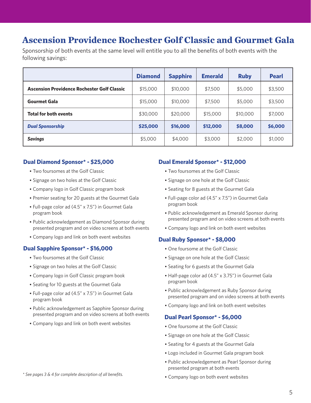# **Ascension Providence Rochester Golf Classic and Gourmet Gala**

Sponsorship of both events at the same level will entitle you to all the benefits of both events with the following savings:

|                                                    | <b>Diamond</b> | <b>Sapphire</b>     | <b>Emerald</b> | <b>Ruby</b> | <b>Pearl</b> |
|----------------------------------------------------|----------------|---------------------|----------------|-------------|--------------|
| <b>Ascension Providence Rochester Golf Classic</b> | \$15,000       | \$10,000            | \$7,500        | \$5,000     | \$3,500      |
| <b>Gourmet Gala</b>                                | \$15,000       | \$7,500<br>\$10,000 |                | \$5,000     | \$3,500      |
| <b>Total for both events</b>                       | \$30,000       | \$20,000            | \$15,000       | \$10,000    | \$7,000      |
| <b>Dual Sponsorship</b>                            | \$25,000       | \$16,000            | \$12,000       | \$8,000     | \$6,000      |
| <b>Savings</b>                                     | \$5,000        | \$4,000             | \$3,000        | \$2,000     | \$1,000      |

#### **Dual Diamond Sponsor\* - \$25,000**

- Two foursomes at the Golf Classic
- Signage on two holes at the Golf Classic
- Company logo in Golf Classic program book
- Premier seating for 20 guests at the Gourmet Gala
- Full-page color ad (4.5" x 7.5") in Gourmet Gala program book
- Public acknowledgement as Diamond Sponsor during presented program and on video screens at both events
- Company logo and link on both event websites

## **Dual Sapphire Sponsor\* - \$16,000**

- Two foursomes at the Golf Classic
- Signage on two holes at the Golf Classic
- Company logo in Golf Classic program book
- Seating for 10 guests at the Gourmet Gala
- Full-page color ad (4.5" x 7.5") in Gourmet Gala program book
- Public acknowledgement as Sapphire Sponsor during presented program and on video screens at both events
- Company logo and link on both event websites

#### **Dual Emerald Sponsor\* - \$12,000**

- Two foursomes at the Golf Classic
- Signage on one hole at the Golf Classic
- Seating for 8 guests at the Gourmet Gala
- Full-page color ad (4.5" x 7.5") in Gourmet Gala program book
- Public acknowledgement as Emerald Sponsor during presented program and on video screens at both events
- Company logo and link on both event websites

#### **Dual Ruby Sponsor\* - \$8,000**

- One foursome at the Golf Classic
- Signage on one hole at the Golf Classic
- Seating for 6 guests at the Gourmet Gala
- Half-page color ad (4.5" x 3.75") in Gourmet Gala program book
- Public acknowledgement as Ruby Sponsor during presented program and on video screens at both events
- Company logo and link on both event websites

#### **Dual Pearl Sponsor\* - \$6,000**

- One foursome at the Golf Classic
- Signage on one hole at the Golf Classic
- Seating for 4 guests at the Gourmet Gala
- Logo included in Gourmet Gala program book
- Public acknowledgement as Pearl Sponsor during presented program at both events
- 
- Company logo on both event websites *\* See pages 3 & 4 for complete description of all benefits.*